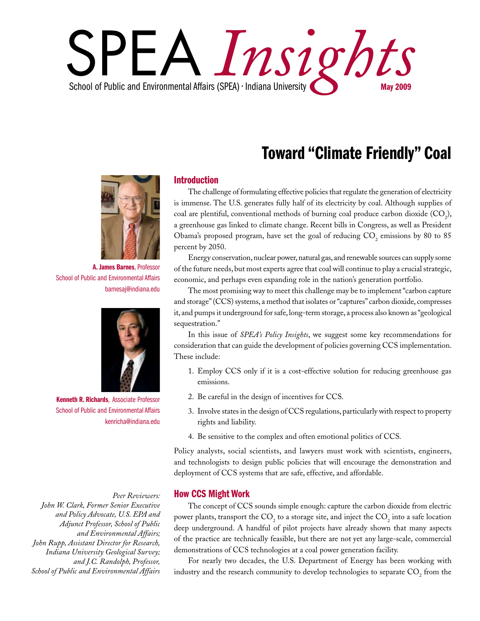# SPEA *Insight School of Public and Environmental Affairs* (SPEA) • Indiana University

# Toward "Climate Friendly" Coal



A. James Barnes, Professor School of Public and Environmental Affairs barnesaj@indiana.edu



Kenneth R. Richards, Associate Professor School of Public and Environmental Affairs kenricha@indiana.edu

### *Peer Reviewers:*

*John W. Clark, Former Senior Executive and Policy Advocate, U.S. EPA and Adjunct Professor, School of Public and Environmental Affairs; John Rupp, Assistant Director for Research, Indiana University Geological Survey; and J.C. Randolph, Professor, School of Public and Environmental Affairs*

### Introduction

The challenge of formulating effective policies that regulate the generation of electricity is immense. The U.S. generates fully half of its electricity by coal. Although supplies of coal are plentiful, conventional methods of burning coal produce carbon dioxide  $({\rm CO}_2)$ , a greenhouse gas linked to climate change. Recent bills in Congress, as well as President Obama's proposed program, have set the goal of reducing  $\mathrm{CO}_2$  emissions by 80 to 85 percent by 2050.

Energy conservation, nuclear power, natural gas, and renewable sources can supply some of the future needs, but most experts agree that coal will continue to play a crucial strategic, economic, and perhaps even expanding role in the nation's generation portfolio.

The most promising way to meet this challenge may be to implement "carbon capture and storage" (CCS) systems, a method that isolates or "captures" carbon dioxide, compresses it, and pumps it underground for safe, long-term storage, a process also known as "geological sequestration."

In this issue of *SPEA's Policy Insights*, we suggest some key recommendations for consideration that can guide the development of policies governing CCS implementation. These include:

- 1. Employ CCS only if it is a cost-effective solution for reducing greenhouse gas emissions.
- 2. Be careful in the design of incentives for CCS.
- 3. Involve states in the design of CCS regulations, particularly with respect to property rights and liability.
- 4. Be sensitive to the complex and often emotional politics of CCS.

Policy analysts, social scientists, and lawyers must work with scientists, engineers, and technologists to design public policies that will encourage the demonstration and deployment of CCS systems that are safe, effective, and affordable.

### How CCS Might Work

The concept of CCS sounds simple enough: capture the carbon dioxide from electric power plants, transport the  $\mathrm{CO}_2$  to a storage site, and inject the  $\mathrm{CO}_2$  into a safe location deep underground. A handful of pilot projects have already shown that many aspects of the practice are technically feasible, but there are not yet any large-scale, commercial demonstrations of CCS technologies at a coal power generation facility.

For nearly two decades, the U.S. Department of Energy has been working with industry and the research community to develop technologies to separate  $\mathrm{CO}_2^{}$  from the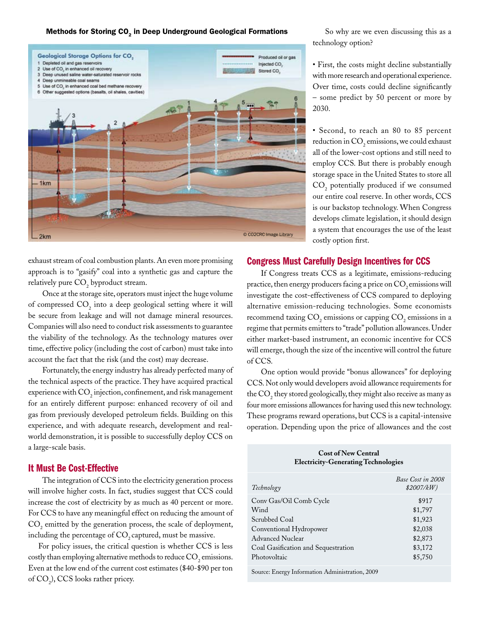### Methods for Storing CO<sub>2</sub> in Deep Underground Geological Formations



exhaust stream of coal combustion plants. An even more promising approach is to "gasify" coal into a synthetic gas and capture the relatively pure  $\mathrm{CO}_2$  byproduct stream.

Once at the storage site, operators must inject the huge volume of compressed  $CO_2$  into a deep geological setting where it will be secure from leakage and will not damage mineral resources. Companies will also need to conduct risk assessments to guarantee the viability of the technology. As the technology matures over time, effective policy (including the cost of carbon) must take into account the fact that the risk (and the cost) may decrease.

Fortunately, the energy industry has already perfected many of the technical aspects of the practice. They have acquired practical experience with  $\mathrm{CO}_2$  injection, confinement, and risk management for an entirely different purpose: enhanced recovery of oil and gas from previously developed petroleum fields. Building on this experience, and with adequate research, development and realworld demonstration, it is possible to successfully deploy CCS on a large-scale basis.

### It Must Be Cost-Effective

The integration of CCS into the electricity generation process will involve higher costs. In fact, studies suggest that CCS could increase the cost of electricity by as much as 40 percent or more. For CCS to have any meaningful effect on reducing the amount of  $\mathrm{CO}_2$  emitted by the generation process, the scale of deployment, including the percentage of CO<sub>2</sub> captured, must be massive.

 For policy issues, the critical question is whether CCS is less costly than employing alternative methods to reduce  $\mathrm{CO}_2$  emissions. Even at the low end of the current cost estimates (\$40-\$90 per ton of  $CO<sub>2</sub>$ ), CCS looks rather pricey.

 So why are we even discussing this as a technology option?

• First, the costs might decline substantially with more research and operational experience. Over time, costs could decline significantly – some predict by 50 percent or more by 2030.

• Second, to reach an 80 to 85 percent reduction in  $\mathrm{CO}_2$  emissions, we could exhaust all of the lower-cost options and still need to employ CCS. But there is probably enough storage space in the United States to store all CO2 potentially produced if we consumed our entire coal reserve. In other words, CCS is our backstop technology. When Congress develops climate legislation, it should design a system that encourages the use of the least costly option first.

### Congress Must Carefully Design Incentives for CCS

If Congress treats CCS as a legitimate, emissions-reducing practice, then energy producers facing a price on CO<sub>2</sub> emissions will investigate the cost-effectiveness of CCS compared to deploying alternative emission-reducing technologies. Some economists recommend taxing  $\mathrm{CO}_2$  emissions or capping  $\mathrm{CO}_2$  emissions in a regime that permits emitters to "trade" pollution allowances. Under either market-based instrument, an economic incentive for CCS will emerge, though the size of the incentive will control the future of CCS.

One option would provide "bonus allowances" for deploying CCS. Not only would developers avoid allowance requirements for the  $\mathrm{CO}_2$  they stored geologically, they might also receive as many as four more emissions allowances for having used this new technology. These programs reward operations, but CCS is a capital-intensive operation. Depending upon the price of allowances and the cost

### **Cost of New Central Electricity-Generating Technologies**

| Technology                          | Base Cost in 2008<br>\$2007/kW\$ |
|-------------------------------------|----------------------------------|
| Conv Gas/Oil Comb Cycle             | \$917                            |
| Wind                                | \$1,797                          |
| Scrubbed Coal                       | \$1,923                          |
| Conventional Hydropower             | \$2,038                          |
| Advanced Nuclear                    | \$2,873                          |
| Coal Gasification and Sequestration | \$3,172                          |
| Photovoltaic                        | \$5,750                          |

Source: Energy Information Administration, 2009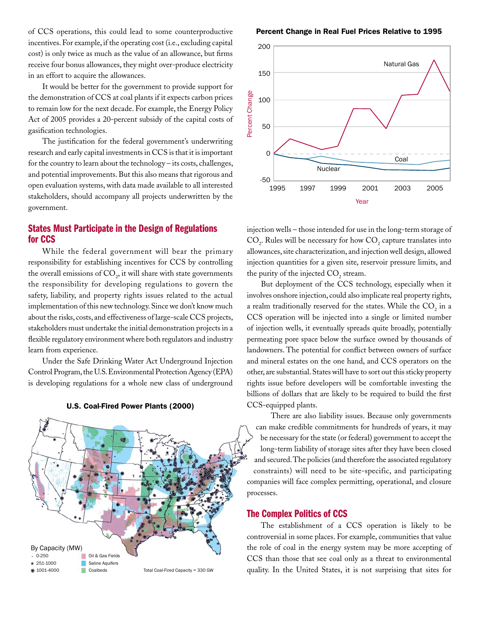of CCS operations, this could lead to some counterproductive incentives. For example, if the operating cost (i.e., excluding capital cost) is only twice as much as the value of an allowance, but firms receive four bonus allowances, they might over-produce electricity in an effort to acquire the allowances.

It would be better for the government to provide support for the demonstration of CCS at coal plants if it expects carbon prices to remain low for the next decade. For example, the Energy Policy Act of 2005 provides a 20-percent subsidy of the capital costs of gasification technologies.

The justification for the federal government's underwriting research and early capital investments in CCS is that it is important for the country to learn about the technology – its costs, challenges, and potential improvements. But this also means that rigorous and open evaluation systems, with data made available to all interested stakeholders, should accompany all projects underwritten by the government.

### States Must Participate in the Design of Regulations for CCS

While the federal government will bear the primary responsibility for establishing incentives for CCS by controlling the overall emissions of  $\mathrm{CO}_2^{}$ , it will share with state governments the responsibility for developing regulations to govern the safety, liability, and property rights issues related to the actual implementation of this new technology. Since we don't know much about the risks, costs, and effectiveness of large-scale CCS projects, stakeholders must undertake the initial demonstration projects in a flexible regulatory environment where both regulators and industry learn from experience.

Under the Safe Drinking Water Act Underground Injection Control Program, the U.S. Environmental Protection Agency (EPA) is developing regulations for a whole new class of underground



### U.S. Coal-Fired Power Plants (2000)

### Percent Change in Real Fuel Prices Relative to 1995



injection wells – those intended for use in the long-term storage of  $\mathrm{CO}_2$ . Rules will be necessary for how  $\mathrm{CO}_2$  capture translates into allowances, site characterization, and injection well design, allowed injection quantities for a given site, reservoir pressure limits, and the purity of the injected  $CO<sub>2</sub>$  stream.

But deployment of the CCS technology, especially when it involves onshore injection, could also implicate real property rights, a realm traditionally reserved for the states. While the  $\mathrm{CO}_2^{}$  in a CCS operation will be injected into a single or limited number of injection wells, it eventually spreads quite broadly, potentially permeating pore space below the surface owned by thousands of landowners. The potential for conflict between owners of surface and mineral estates on the one hand, and CCS operators on the other, are substantial. States will have to sort out this sticky property rights issue before developers will be comfortable investing the billions of dollars that are likely to be required to build the first CCS-equipped plants.

 There are also liability issues. Because only governments can make credible commitments for hundreds of years, it may be necessary for the state (or federal) government to accept the long-term liability of storage sites after they have been closed and secured. The policies (and therefore the associated regulatory constraints) will need to be site-specific, and participating companies will face complex permitting, operational, and closure processes.

### The Complex Politics of CCS

The establishment of a CCS operation is likely to be controversial in some places. For example, communities that value the role of coal in the energy system may be more accepting of CCS than those that see coal only as a threat to environmental quality. In the United States, it is not surprising that sites for